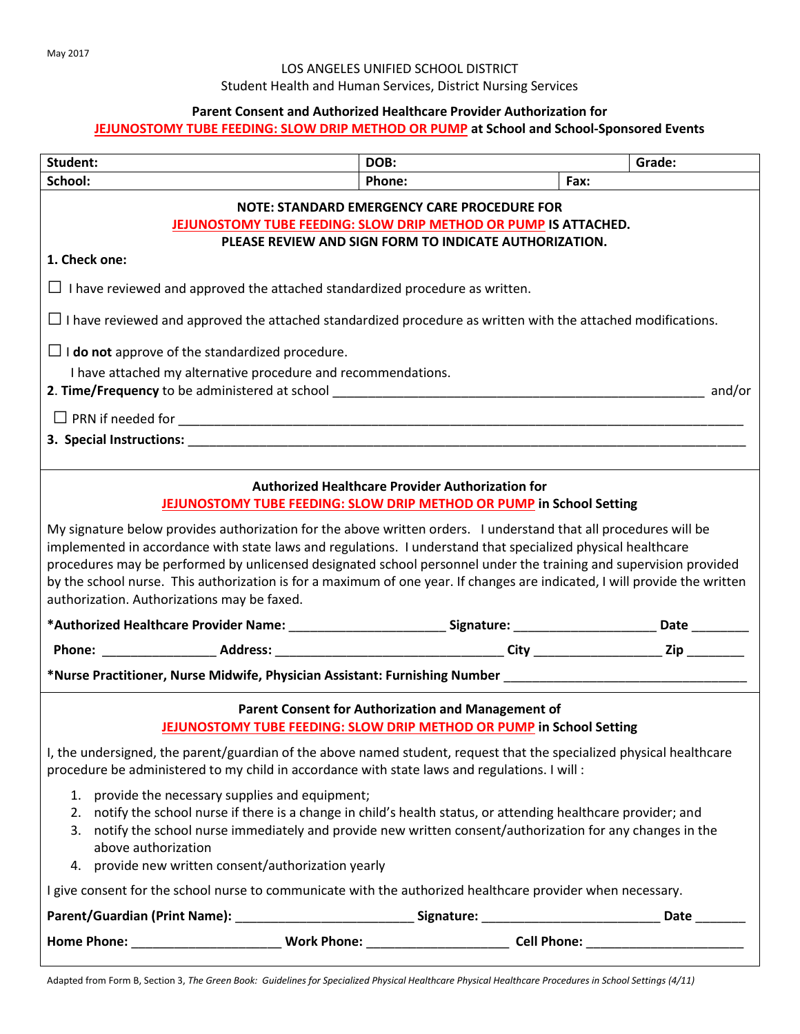## LOS ANGELES UNIFIED SCHOOL DISTRICT

Student Health and Human Services, District Nursing Services

#### **Parent Consent and Authorized Healthcare Provider Authorization for**

### **JEJUNOSTOMY TUBE FEEDING: SLOW DRIP METHOD OR PUMP at School and School-Sponsored Events**

| Student:                                                                                                                                                                                                                                                                                                                                                                                                                                                                                                                           | DOB:   |      | Grade: |  |  |
|------------------------------------------------------------------------------------------------------------------------------------------------------------------------------------------------------------------------------------------------------------------------------------------------------------------------------------------------------------------------------------------------------------------------------------------------------------------------------------------------------------------------------------|--------|------|--------|--|--|
| School:                                                                                                                                                                                                                                                                                                                                                                                                                                                                                                                            | Phone: | Fax: |        |  |  |
| <b>NOTE: STANDARD EMERGENCY CARE PROCEDURE FOR</b><br>JEJUNOSTOMY TUBE FEEDING: SLOW DRIP METHOD OR PUMP IS ATTACHED.<br>PLEASE REVIEW AND SIGN FORM TO INDICATE AUTHORIZATION.<br>1. Check one:                                                                                                                                                                                                                                                                                                                                   |        |      |        |  |  |
| $\Box$ I have reviewed and approved the attached standardized procedure as written.                                                                                                                                                                                                                                                                                                                                                                                                                                                |        |      |        |  |  |
| $\Box$ I have reviewed and approved the attached standardized procedure as written with the attached modifications.                                                                                                                                                                                                                                                                                                                                                                                                                |        |      |        |  |  |
| $\Box$ <b>I do not</b> approve of the standardized procedure.                                                                                                                                                                                                                                                                                                                                                                                                                                                                      |        |      |        |  |  |
| I have attached my alternative procedure and recommendations.                                                                                                                                                                                                                                                                                                                                                                                                                                                                      |        |      |        |  |  |
|                                                                                                                                                                                                                                                                                                                                                                                                                                                                                                                                    |        |      |        |  |  |
| 3. Special Instructions: the control of the control of the control of the control of the control of the control of the control of the control of the control of the control of the control of the control of the control of th                                                                                                                                                                                                                                                                                                     |        |      |        |  |  |
| <b>Authorized Healthcare Provider Authorization for</b><br>JEJUNOSTOMY TUBE FEEDING: SLOW DRIP METHOD OR PUMP in School Setting                                                                                                                                                                                                                                                                                                                                                                                                    |        |      |        |  |  |
| My signature below provides authorization for the above written orders. I understand that all procedures will be<br>implemented in accordance with state laws and regulations. I understand that specialized physical healthcare<br>procedures may be performed by unlicensed designated school personnel under the training and supervision provided<br>by the school nurse. This authorization is for a maximum of one year. If changes are indicated, I will provide the written<br>authorization. Authorizations may be faxed. |        |      |        |  |  |
| *Authorized Healthcare Provider Name: ____________________________Signature: __________________________Date __________                                                                                                                                                                                                                                                                                                                                                                                                             |        |      |        |  |  |
|                                                                                                                                                                                                                                                                                                                                                                                                                                                                                                                                    |        |      |        |  |  |
| *Nurse Practitioner, Nurse Midwife, Physician Assistant: Furnishing Number ___________________________________                                                                                                                                                                                                                                                                                                                                                                                                                     |        |      |        |  |  |
| Parent Consent for Authorization and Management of<br>JEJUNOSTOMY TUBE FEEDING: SLOW DRIP METHOD OR PUMP in School Setting                                                                                                                                                                                                                                                                                                                                                                                                         |        |      |        |  |  |
| I, the undersigned, the parent/guardian of the above named student, request that the specialized physical healthcare<br>procedure be administered to my child in accordance with state laws and regulations. I will :                                                                                                                                                                                                                                                                                                              |        |      |        |  |  |
| 1. provide the necessary supplies and equipment;<br>2. notify the school nurse if there is a change in child's health status, or attending healthcare provider; and<br>3. notify the school nurse immediately and provide new written consent/authorization for any changes in the<br>above authorization<br>4. provide new written consent/authorization yearly                                                                                                                                                                   |        |      |        |  |  |
| I give consent for the school nurse to communicate with the authorized healthcare provider when necessary.                                                                                                                                                                                                                                                                                                                                                                                                                         |        |      |        |  |  |
|                                                                                                                                                                                                                                                                                                                                                                                                                                                                                                                                    |        |      |        |  |  |
|                                                                                                                                                                                                                                                                                                                                                                                                                                                                                                                                    |        |      |        |  |  |

Adapted from Form B, Section 3, *The Green Book: Guidelines for Specialized Physical Healthcare Physical Healthcare Procedures in School Settings (4/11)*